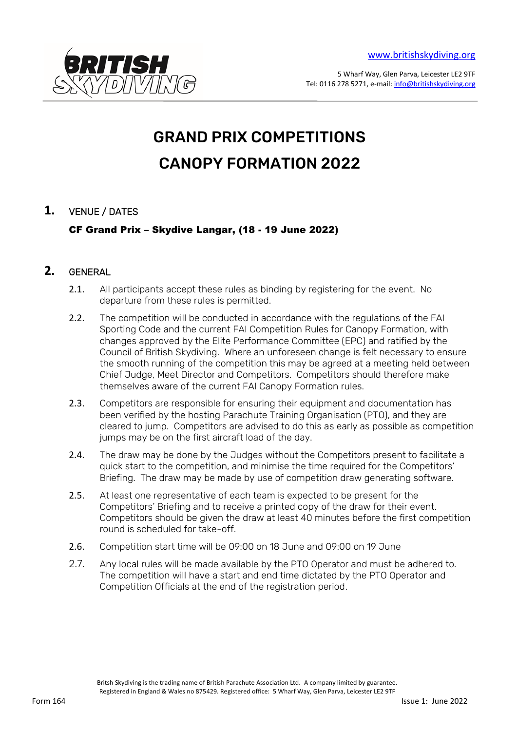

5 Wharf Way, Glen Parva, Leicester LE2 9TF Tel: 0116 278 5271, e-mail: [info@britishskydiving.org](mailto:info@britishskydiving.org) 

# GRAND PRIX COMPETITIONS CANOPY FORMATION 2022

# **1.** VENUE / DATES

CF Grand Prix – Skydive Langar, (18 - 19 June 2022)

# **2.** GENERAL

- 2.1. All participants accept these rules as binding by registering for the event. No departure from these rules is permitted.
- 2.2. The competition will be conducted in accordance with the regulations of the FAI Sporting Code and the current FAI Competition Rules for Canopy Formation, with changes approved by the Elite Performance Committee (EPC) and ratified by the Council of British Skydiving. Where an unforeseen change is felt necessary to ensure the smooth running of the competition this may be agreed at a meeting held between Chief Judge, Meet Director and Competitors. Competitors should therefore make themselves aware of the current FAI Canopy Formation rules.
- 2.3. Competitors are responsible for ensuring their equipment and documentation has been verified by the hosting Parachute Training Organisation (PTO), and they are cleared to jump. Competitors are advised to do this as early as possible as competition jumps may be on the first aircraft load of the day.
- 2.4. The draw may be done by the Judges without the Competitors present to facilitate a quick start to the competition, and minimise the time required for the Competitors' Briefing. The draw may be made by use of competition draw generating software.
- 2.5. At least one representative of each team is expected to be present for the Competitors' Briefing and to receive a printed copy of the draw for their event. Competitors should be given the draw at least 40 minutes before the first competition round is scheduled for take-off.
- 2.6. Competition start time will be 09:00 on 18 June and 09:00 on 19 June
- 2.7. Any local rules will be made available by the PTO Operator and must be adhered to. The competition will have a start and end time dictated by the PTO Operator and Competition Officials at the end of the registration period.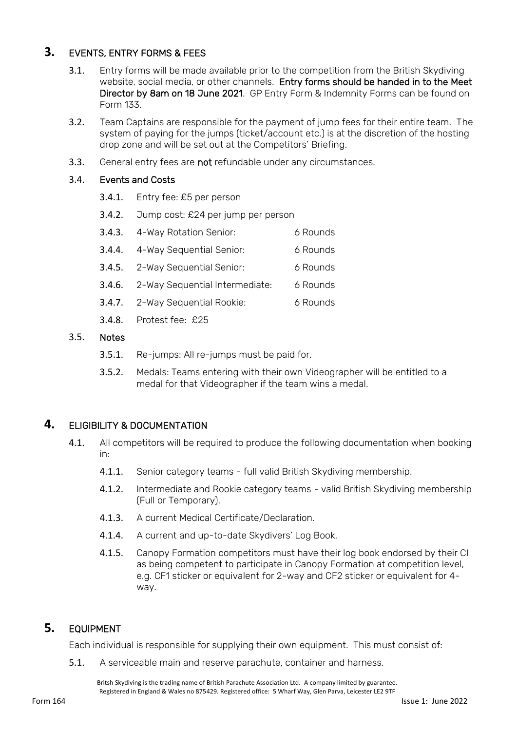# **3.** EVENTS, ENTRY FORMS & FEES

- 3.1. Entry forms will be made available prior to the competition from the British Skydiving website, social media, or other channels. Entry forms should be handed in to the Meet Director by 8am on 18 June 2021. GP Entry Form & Indemnity Forms can be found on Form 133.
- 3.2. Team Captains are responsible for the payment of jump fees for their entire team. The system of paying for the jumps (ticket/account etc.) is at the discretion of the hosting drop zone and will be set out at the Competitors' Briefing.
- 3.3. General entry fees are not refundable under any circumstances.

#### 3.4. Events and Costs

- 3.4.1. Entry fee: £5 per person
- 3.4.2. Jump cost: £24 per jump per person
- 3.4.3. 4-Way Rotation Senior: 6 Rounds
- 3.4.4. 4-Way Sequential Senior: 6 Rounds
- 3.4.5. 2-Way Sequential Senior: 6 Rounds
- 3.4.6. 2-Way Sequential Intermediate: 6 Rounds
- 3.4.7. 2-Way Sequential Rookie: 6 Rounds
- 3.4.8. Protest fee: £25

#### 3.5. Notes

- 3.5.1. Re-jumps: All re-jumps must be paid for.
- 3.5.2. Medals: Teams entering with their own Videographer will be entitled to a medal for that Videographer if the team wins a medal.

#### **4.** ELIGIBILITY & DOCUMENTATION

- 4.1. All competitors will be required to produce the following documentation when booking in:
	- 4.1.1. Senior category teams full valid British Skydiving membership.
	- 4.1.2. Intermediate and Rookie category teams valid British Skydiving membership (Full or Temporary).
	- 4.1.3. A current Medical Certificate/Declaration.
	- 4.1.4. A current and up-to-date Skydivers' Log Book.
	- 4.1.5. Canopy Formation competitors must have their log book endorsed by their CI as being competent to participate in Canopy Formation at competition level, e.g. CF1 sticker or equivalent for 2-way and CF2 sticker or equivalent for 4 way.

# **5.** EQUIPMENT

Each individual is responsible for supplying their own equipment. This must consist of:

5.1. A serviceable main and reserve parachute, container and harness.

Britsh Skydiving is the trading name of British Parachute Association Ltd. A company limited by guarantee. Registered in England & Wales no 875429. Registered office: 5 Wharf Way, Glen Parva, Leicester LE2 9TF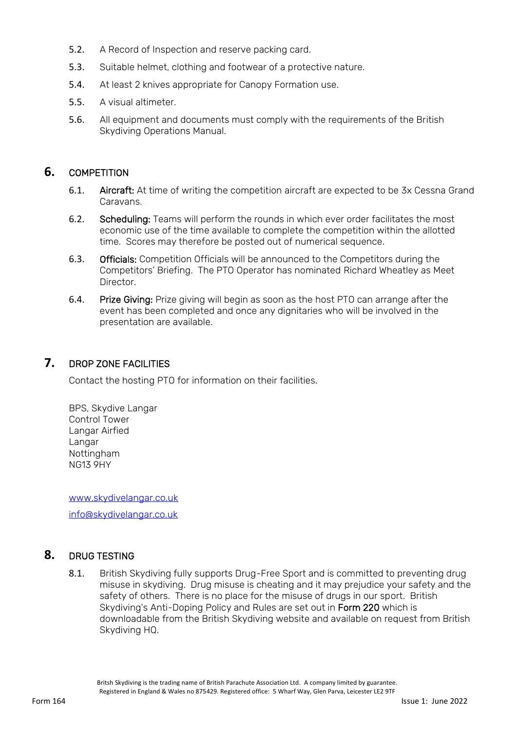- 5.2. A Record of Inspection and reserve packing card.
- 5.3. Suitable helmet, clothing and footwear of a protective nature.
- 5.4. At least 2 knives appropriate for Canopy Formation use.
- 5.5. A visual altimeter.
- 5.6. All equipment and documents must comply with the requirements of the British Skydiving Operations Manual.

# **6.** COMPETITION

- 6.1. Aircraft: At time of writing the competition aircraft are expected to be 3x Cessna Grand Caravans.
- 6.2. Scheduling: Teams will perform the rounds in which ever order facilitates the most economic use of the time available to complete the competition within the allotted time. Scores may therefore be posted out of numerical sequence.
- 6.3. Officials: Competition Officials will be announced to the Competitors during the Competitors' Briefing. The PTO Operator has nominated Richard Wheatley as Meet **Director**
- 6.4. Prize Giving: Prize giving will begin as soon as the host PTO can arrange after the event has been completed and once any dignitaries who will be involved in the presentation are available.

# **7.** DROP ZONE FACILITIES

Contact the hosting PTO for information on their facilities.

BPS, Skydive Langar Control Tower Langar Airfied Langar Nottingham NG13 9HY

[www.skydivelangar.co.uk](http://www.skydivelangar.co.uk/)

[info@skydivelangar.co.uk](mailto:info@skydivelangar.co.uk)

# **8.** DRUG TESTING

8.1. British Skydiving fully supports Drug-Free Sport and is committed to preventing drug misuse in skydiving. Drug misuse is cheating and it may prejudice your safety and the safety of others. There is no place for the misuse of drugs in our sport. British Skydiving's Anti-Doping Policy and Rules are set out in Form 220 which is downloadable from the British Skydiving website and available on request from British Skydiving HQ.